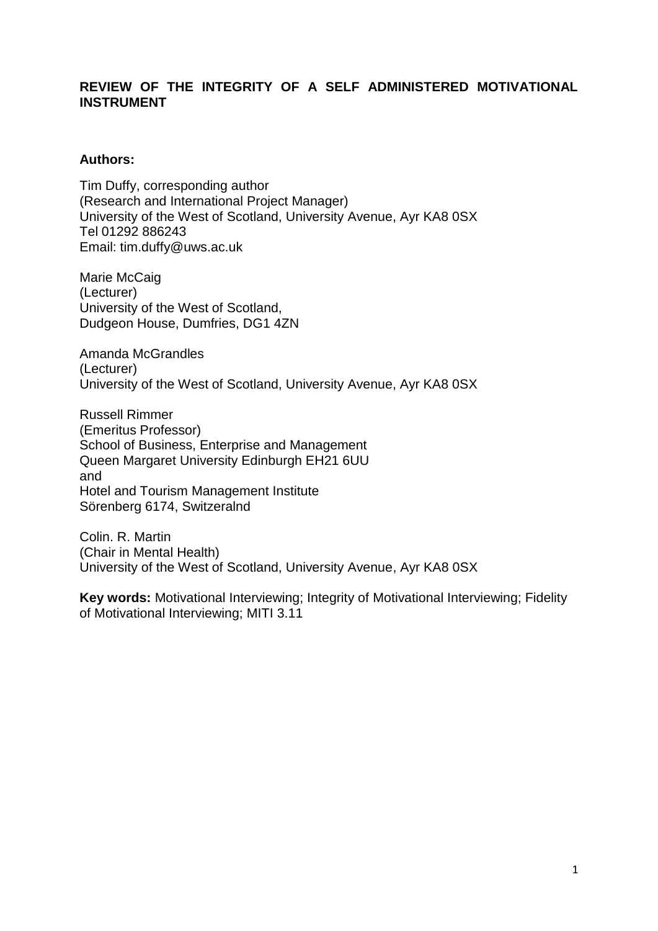## **REVIEW OF THE INTEGRITY OF A SELF ADMINISTERED MOTIVATIONAL INSTRUMENT**

### **Authors:**

Tim Duffy, corresponding author (Research and International Project Manager) University of the West of Scotland, University Avenue, Ayr KA8 0SX Tel 01292 886243 Email: tim.duffy@uws.ac.uk

Marie McCaig (Lecturer) University of the West of Scotland, Dudgeon House, Dumfries, DG1 4ZN

Amanda McGrandles (Lecturer) University of the West of Scotland, University Avenue, Ayr KA8 0SX

Russell Rimmer (Emeritus Professor) School of Business, Enterprise and Management Queen Margaret University Edinburgh EH21 6UU and Hotel and Tourism Management Institute Sörenberg 6174, Switzeralnd

Colin. R. Martin (Chair in Mental Health) University of the West of Scotland, University Avenue, Ayr KA8 0SX

**Key words:** Motivational Interviewing; Integrity of Motivational Interviewing; Fidelity of Motivational Interviewing; MITI 3.11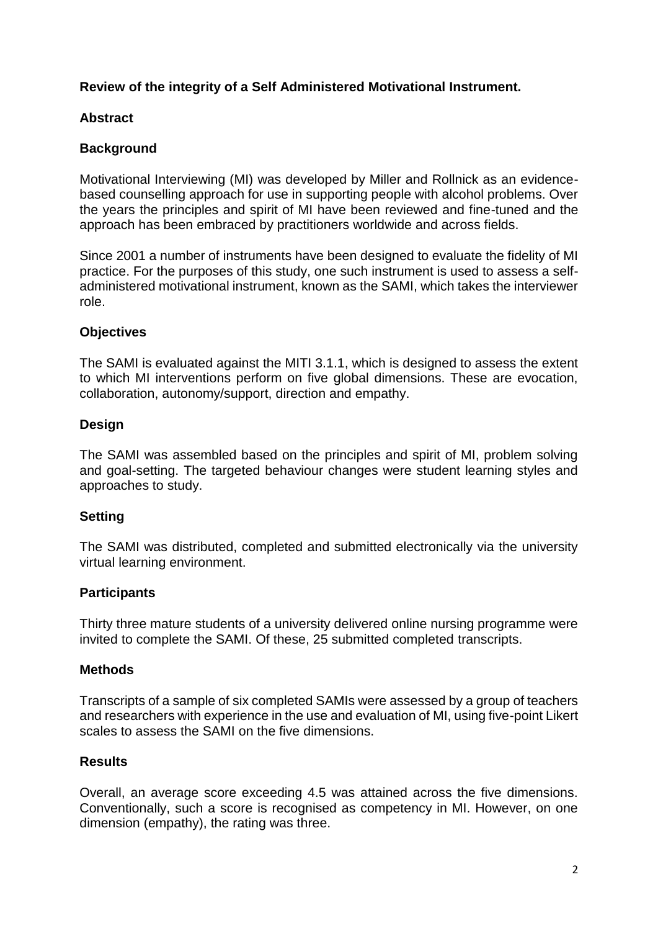## **Review of the integrity of a Self Administered Motivational Instrument.**

## **Abstract**

## **Background**

Motivational Interviewing (MI) was developed by Miller and Rollnick as an evidencebased counselling approach for use in supporting people with alcohol problems. Over the years the principles and spirit of MI have been reviewed and fine-tuned and the approach has been embraced by practitioners worldwide and across fields.

Since 2001 a number of instruments have been designed to evaluate the fidelity of MI practice. For the purposes of this study, one such instrument is used to assess a selfadministered motivational instrument, known as the SAMI, which takes the interviewer role.

## **Objectives**

The SAMI is evaluated against the MITI 3.1.1, which is designed to assess the extent to which MI interventions perform on five global dimensions. These are evocation, collaboration, autonomy/support, direction and empathy.

## **Design**

The SAMI was assembled based on the principles and spirit of MI, problem solving and goal-setting. The targeted behaviour changes were student learning styles and approaches to study.

## **Setting**

The SAMI was distributed, completed and submitted electronically via the university virtual learning environment.

## **Participants**

Thirty three mature students of a university delivered online nursing programme were invited to complete the SAMI. Of these, 25 submitted completed transcripts.

## **Methods**

Transcripts of a sample of six completed SAMIs were assessed by a group of teachers and researchers with experience in the use and evaluation of MI, using five-point Likert scales to assess the SAMI on the five dimensions.

## **Results**

Overall, an average score exceeding 4.5 was attained across the five dimensions. Conventionally, such a score is recognised as competency in MI. However, on one dimension (empathy), the rating was three.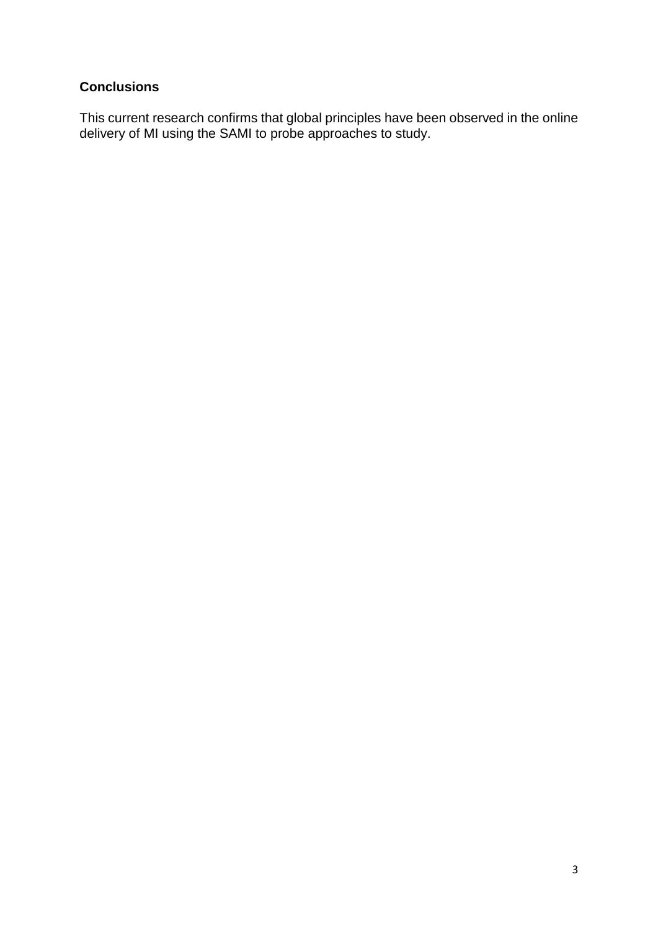# **Conclusions**

This current research confirms that global principles have been observed in the online delivery of MI using the SAMI to probe approaches to study.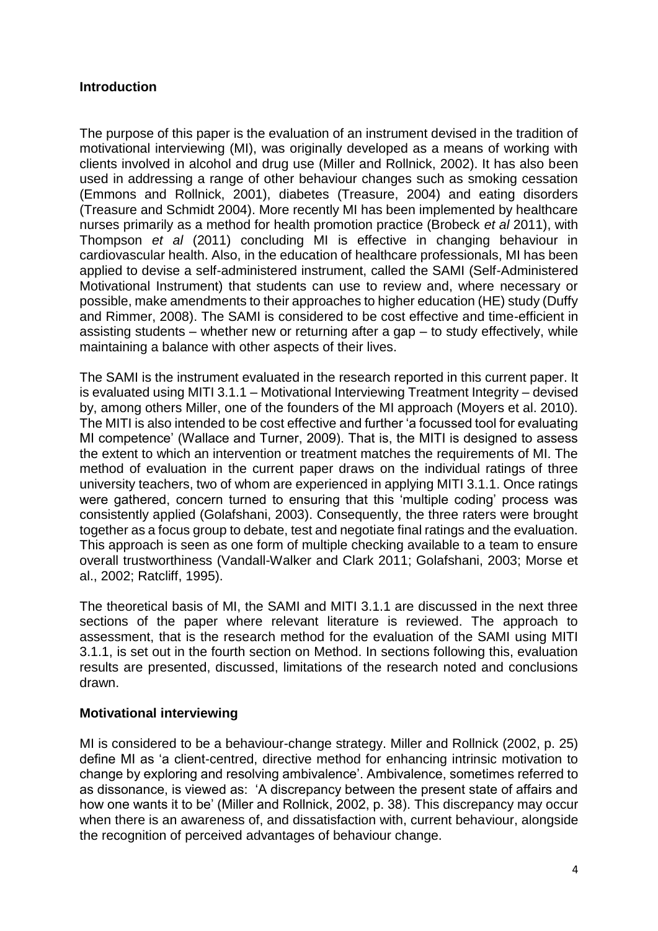## **Introduction**

The purpose of this paper is the evaluation of an instrument devised in the tradition of motivational interviewing (MI), was originally developed as a means of working with clients involved in alcohol and drug use (Miller and Rollnick, 2002). It has also been used in addressing a range of other behaviour changes such as smoking cessation (Emmons and Rollnick, 2001), diabetes (Treasure, 2004) and eating disorders (Treasure and Schmidt 2004). More recently MI has been implemented by healthcare nurses primarily as a method for health promotion practice (Brobeck *et al* 2011), with Thompson *et al* (2011) concluding MI is effective in changing behaviour in cardiovascular health. Also, in the education of healthcare professionals, MI has been applied to devise a self-administered instrument, called the SAMI (Self-Administered Motivational Instrument) that students can use to review and, where necessary or possible, make amendments to their approaches to higher education (HE) study (Duffy and Rimmer, 2008). The SAMI is considered to be cost effective and time-efficient in assisting students – whether new or returning after a gap – to study effectively, while maintaining a balance with other aspects of their lives.

The SAMI is the instrument evaluated in the research reported in this current paper. It is evaluated using MITI 3.1.1 – Motivational Interviewing Treatment Integrity – devised by, among others Miller, one of the founders of the MI approach (Moyers et al. 2010). The MITI is also intended to be cost effective and further 'a focussed tool for evaluating MI competence' (Wallace and Turner, 2009). That is, the MITI is designed to assess the extent to which an intervention or treatment matches the requirements of MI. The method of evaluation in the current paper draws on the individual ratings of three university teachers, two of whom are experienced in applying MITI 3.1.1. Once ratings were gathered, concern turned to ensuring that this 'multiple coding' process was consistently applied (Golafshani, 2003). Consequently, the three raters were brought together as a focus group to debate, test and negotiate final ratings and the evaluation. This approach is seen as one form of multiple checking available to a team to ensure overall trustworthiness (Vandall-Walker and Clark 2011; Golafshani, 2003; Morse et al., 2002; Ratcliff, 1995).

The theoretical basis of MI, the SAMI and MITI 3.1.1 are discussed in the next three sections of the paper where relevant literature is reviewed. The approach to assessment, that is the research method for the evaluation of the SAMI using MITI 3.1.1, is set out in the fourth section on Method. In sections following this, evaluation results are presented, discussed, limitations of the research noted and conclusions drawn.

## **Motivational interviewing**

MI is considered to be a behaviour-change strategy. Miller and Rollnick (2002, p. 25) define MI as 'a client-centred, directive method for enhancing intrinsic motivation to change by exploring and resolving ambivalence'. Ambivalence, sometimes referred to as dissonance, is viewed as: 'A discrepancy between the present state of affairs and how one wants it to be' (Miller and Rollnick, 2002, p. 38). This discrepancy may occur when there is an awareness of, and dissatisfaction with, current behaviour, alongside the recognition of perceived advantages of behaviour change.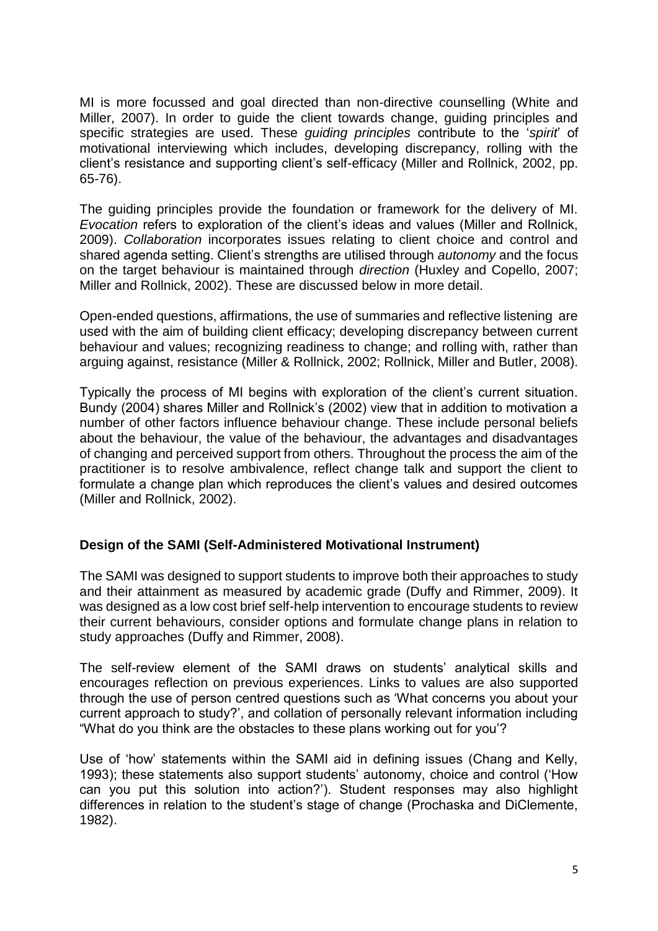MI is more focussed and goal directed than non-directive counselling (White and Miller, 2007). In order to quide the client towards change, quiding principles and specific strategies are used. These *guiding principles* contribute to the '*spirit*' of motivational interviewing which includes, developing discrepancy, rolling with the client's resistance and supporting client's self-efficacy (Miller and Rollnick, 2002, pp. 65-76).

The guiding principles provide the foundation or framework for the delivery of MI. *Evocation* refers to exploration of the client's ideas and values (Miller and Rollnick, 2009). *Collaboration* incorporates issues relating to client choice and control and shared agenda setting. Client's strengths are utilised through *autonomy* and the focus on the target behaviour is maintained through *direction* (Huxley and Copello, 2007; Miller and Rollnick, 2002). These are discussed below in more detail.

Open-ended questions, affirmations, the use of summaries and reflective listening are used with the aim of building client efficacy; developing discrepancy between current behaviour and values; recognizing readiness to change; and rolling with, rather than arguing against, resistance (Miller & Rollnick, 2002; Rollnick, Miller and Butler, 2008).

Typically the process of MI begins with exploration of the client's current situation. Bundy (2004) shares Miller and Rollnick's (2002) view that in addition to motivation a number of other factors influence behaviour change. These include personal beliefs about the behaviour, the value of the behaviour, the advantages and disadvantages of changing and perceived support from others. Throughout the process the aim of the practitioner is to resolve ambivalence, reflect change talk and support the client to formulate a change plan which reproduces the client's values and desired outcomes (Miller and Rollnick, 2002).

## **Design of the SAMI (Self-Administered Motivational Instrument)**

The SAMI was designed to support students to improve both their approaches to study and their attainment as measured by academic grade (Duffy and Rimmer, 2009). It was designed as a low cost brief self-help intervention to encourage students to review their current behaviours, consider options and formulate change plans in relation to study approaches (Duffy and Rimmer, 2008).

The self-review element of the SAMI draws on students' analytical skills and encourages reflection on previous experiences. Links to values are also supported through the use of person centred questions such as 'What concerns you about your current approach to study?', and collation of personally relevant information including "What do you think are the obstacles to these plans working out for you'?

Use of 'how' statements within the SAMI aid in defining issues (Chang and Kelly, 1993); these statements also support students' autonomy, choice and control ('How can you put this solution into action?'). Student responses may also highlight differences in relation to the student's stage of change (Prochaska and DiClemente, 1982).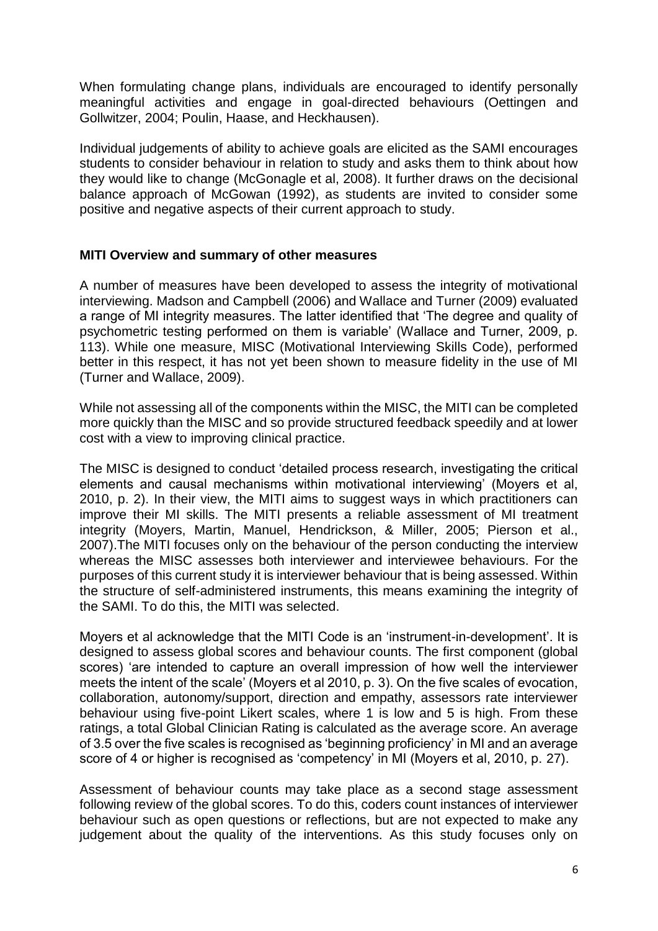When formulating change plans, individuals are encouraged to identify personally meaningful activities and engage in goal-directed behaviours (Oettingen and Gollwitzer, 2004; Poulin, Haase, and Heckhausen).

Individual judgements of ability to achieve goals are elicited as the SAMI encourages students to consider behaviour in relation to study and asks them to think about how they would like to change (McGonagle et al, 2008). It further draws on the decisional balance approach of McGowan (1992), as students are invited to consider some positive and negative aspects of their current approach to study.

## **MITI Overview and summary of other measures**

A number of measures have been developed to assess the integrity of motivational interviewing. Madson and Campbell (2006) and Wallace and Turner (2009) evaluated a range of MI integrity measures. The latter identified that 'The degree and quality of psychometric testing performed on them is variable' (Wallace and Turner, 2009, p. 113). While one measure, MISC (Motivational Interviewing Skills Code), performed better in this respect, it has not yet been shown to measure fidelity in the use of MI (Turner and Wallace, 2009).

While not assessing all of the components within the MISC, the MITI can be completed more quickly than the MISC and so provide structured feedback speedily and at lower cost with a view to improving clinical practice.

The MISC is designed to conduct 'detailed process research, investigating the critical elements and causal mechanisms within motivational interviewing' (Moyers et al, 2010, p. 2). In their view, the MITI aims to suggest ways in which practitioners can improve their MI skills. The MITI presents a reliable assessment of MI treatment integrity (Moyers, Martin, Manuel, Hendrickson, & Miller, 2005; Pierson et al., 2007).The MITI focuses only on the behaviour of the person conducting the interview whereas the MISC assesses both interviewer and interviewee behaviours. For the purposes of this current study it is interviewer behaviour that is being assessed. Within the structure of self-administered instruments, this means examining the integrity of the SAMI. To do this, the MITI was selected.

Moyers et al acknowledge that the MITI Code is an 'instrument-in-development'. It is designed to assess global scores and behaviour counts. The first component (global scores) 'are intended to capture an overall impression of how well the interviewer meets the intent of the scale' (Moyers et al 2010, p. 3). On the five scales of evocation, collaboration, autonomy/support, direction and empathy, assessors rate interviewer behaviour using five-point Likert scales, where 1 is low and 5 is high. From these ratings, a total Global Clinician Rating is calculated as the average score. An average of 3.5 over the five scales is recognised as 'beginning proficiency' in MI and an average score of 4 or higher is recognised as 'competency' in MI (Moyers et al, 2010, p. 27).

Assessment of behaviour counts may take place as a second stage assessment following review of the global scores. To do this, coders count instances of interviewer behaviour such as open questions or reflections, but are not expected to make any judgement about the quality of the interventions. As this study focuses only on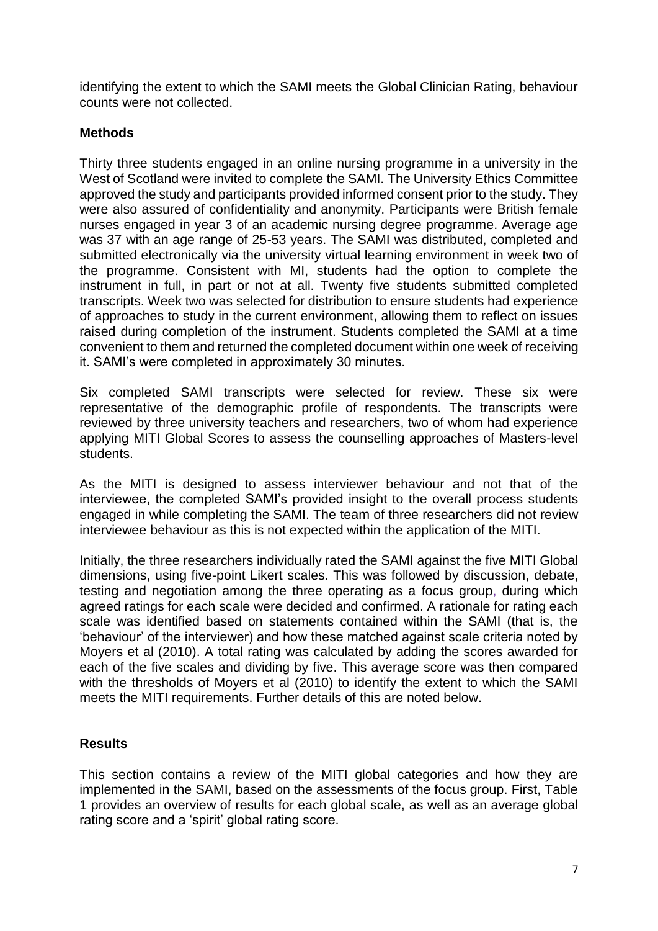identifying the extent to which the SAMI meets the Global Clinician Rating, behaviour counts were not collected.

## **Methods**

Thirty three students engaged in an online nursing programme in a university in the West of Scotland were invited to complete the SAMI. The University Ethics Committee approved the study and participants provided informed consent prior to the study. They were also assured of confidentiality and anonymity. Participants were British female nurses engaged in year 3 of an academic nursing degree programme. Average age was 37 with an age range of 25-53 years. The SAMI was distributed, completed and submitted electronically via the university virtual learning environment in week two of the programme. Consistent with MI, students had the option to complete the instrument in full, in part or not at all. Twenty five students submitted completed transcripts. Week two was selected for distribution to ensure students had experience of approaches to study in the current environment, allowing them to reflect on issues raised during completion of the instrument. Students completed the SAMI at a time convenient to them and returned the completed document within one week of receiving it. SAMI's were completed in approximately 30 minutes.

Six completed SAMI transcripts were selected for review. These six were representative of the demographic profile of respondents. The transcripts were reviewed by three university teachers and researchers, two of whom had experience applying MITI Global Scores to assess the counselling approaches of Masters-level students.

As the MITI is designed to assess interviewer behaviour and not that of the interviewee, the completed SAMI's provided insight to the overall process students engaged in while completing the SAMI. The team of three researchers did not review interviewee behaviour as this is not expected within the application of the MITI.

Initially, the three researchers individually rated the SAMI against the five MITI Global dimensions, using five-point Likert scales. This was followed by discussion, debate, testing and negotiation among the three operating as a focus group, during which agreed ratings for each scale were decided and confirmed. A rationale for rating each scale was identified based on statements contained within the SAMI (that is, the 'behaviour' of the interviewer) and how these matched against scale criteria noted by Moyers et al (2010). A total rating was calculated by adding the scores awarded for each of the five scales and dividing by five. This average score was then compared with the thresholds of Moyers et al (2010) to identify the extent to which the SAMI meets the MITI requirements. Further details of this are noted below.

## **Results**

This section contains a review of the MITI global categories and how they are implemented in the SAMI, based on the assessments of the focus group. First, Table 1 provides an overview of results for each global scale, as well as an average global rating score and a 'spirit' global rating score.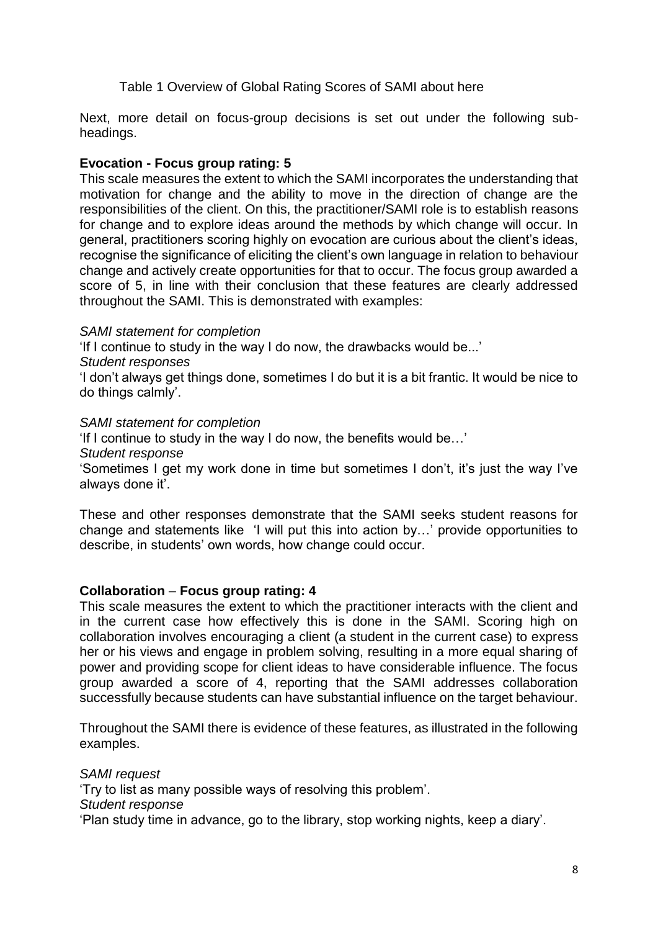Table 1 Overview of Global Rating Scores of SAMI about here

Next, more detail on focus-group decisions is set out under the following subheadings.

## **Evocation - Focus group rating: 5**

This scale measures the extent to which the SAMI incorporates the understanding that motivation for change and the ability to move in the direction of change are the responsibilities of the client. On this, the practitioner/SAMI role is to establish reasons for change and to explore ideas around the methods by which change will occur. In general, practitioners scoring highly on evocation are curious about the client's ideas, recognise the significance of eliciting the client's own language in relation to behaviour change and actively create opportunities for that to occur. The focus group awarded a score of 5, in line with their conclusion that these features are clearly addressed throughout the SAMI. This is demonstrated with examples:

## *SAMI statement for completion*

'If I continue to study in the way I do now, the drawbacks would be...'

*Student responses* 

'I don't always get things done, sometimes I do but it is a bit frantic. It would be nice to do things calmly'.

### *SAMI statement for completion*

'If I continue to study in the way I do now, the benefits would be…'

*Student response*

'Sometimes I get my work done in time but sometimes I don't, it's just the way I've always done it'.

These and other responses demonstrate that the SAMI seeks student reasons for change and statements like 'I will put this into action by…' provide opportunities to describe, in students' own words, how change could occur.

## **Collaboration** – **Focus group rating: 4**

This scale measures the extent to which the practitioner interacts with the client and in the current case how effectively this is done in the SAMI. Scoring high on collaboration involves encouraging a client (a student in the current case) to express her or his views and engage in problem solving, resulting in a more equal sharing of power and providing scope for client ideas to have considerable influence. The focus group awarded a score of 4, reporting that the SAMI addresses collaboration successfully because students can have substantial influence on the target behaviour.

Throughout the SAMI there is evidence of these features, as illustrated in the following examples.

*SAMI request*  'Try to list as many possible ways of resolving this problem'. *Student response*  'Plan study time in advance, go to the library, stop working nights, keep a diary'.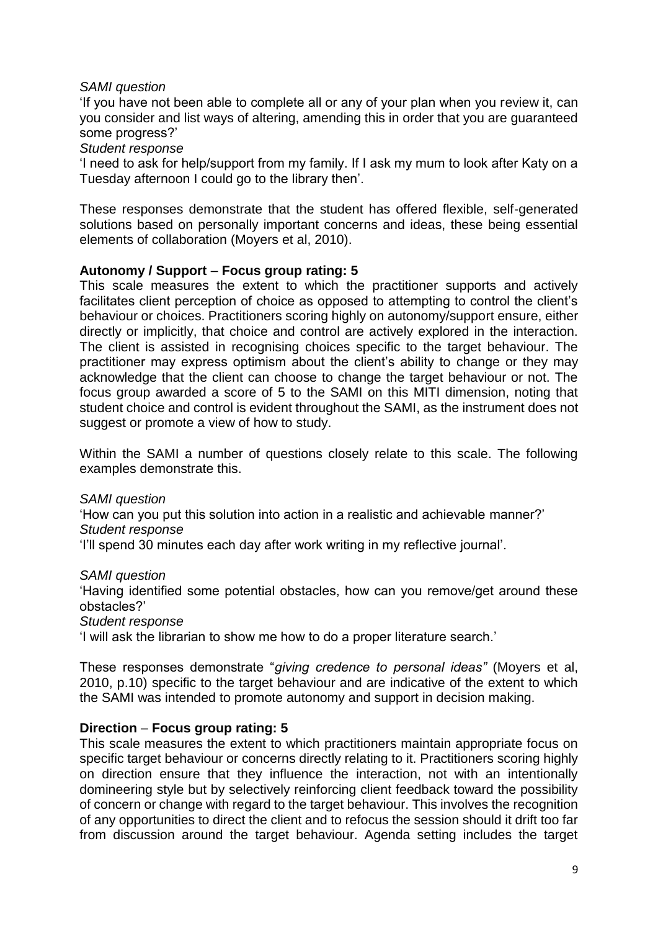## *SAMI question*

'If you have not been able to complete all or any of your plan when you review it, can you consider and list ways of altering, amending this in order that you are guaranteed some progress?'

#### *Student response*

'I need to ask for help/support from my family. If I ask my mum to look after Katy on a Tuesday afternoon I could go to the library then'.

These responses demonstrate that the student has offered flexible, self-generated solutions based on personally important concerns and ideas, these being essential elements of collaboration (Moyers et al, 2010).

### **Autonomy / Support** – **Focus group rating: 5**

This scale measures the extent to which the practitioner supports and actively facilitates client perception of choice as opposed to attempting to control the client's behaviour or choices. Practitioners scoring highly on autonomy/support ensure, either directly or implicitly, that choice and control are actively explored in the interaction. The client is assisted in recognising choices specific to the target behaviour. The practitioner may express optimism about the client's ability to change or they may acknowledge that the client can choose to change the target behaviour or not. The focus group awarded a score of 5 to the SAMI on this MITI dimension, noting that student choice and control is evident throughout the SAMI, as the instrument does not suggest or promote a view of how to study.

Within the SAMI a number of questions closely relate to this scale. The following examples demonstrate this.

#### *SAMI question*

'How can you put this solution into action in a realistic and achievable manner?' *Student response* 

'I'll spend 30 minutes each day after work writing in my reflective journal'.

#### *SAMI question*

'Having identified some potential obstacles, how can you remove/get around these obstacles?'

#### *Student response*

'I will ask the librarian to show me how to do a proper literature search.'

These responses demonstrate "*giving credence to personal ideas"* (Moyers et al, 2010, p.10) specific to the target behaviour and are indicative of the extent to which the SAMI was intended to promote autonomy and support in decision making.

#### **Direction** – **Focus group rating: 5**

This scale measures the extent to which practitioners maintain appropriate focus on specific target behaviour or concerns directly relating to it. Practitioners scoring highly on direction ensure that they influence the interaction, not with an intentionally domineering style but by selectively reinforcing client feedback toward the possibility of concern or change with regard to the target behaviour. This involves the recognition of any opportunities to direct the client and to refocus the session should it drift too far from discussion around the target behaviour. Agenda setting includes the target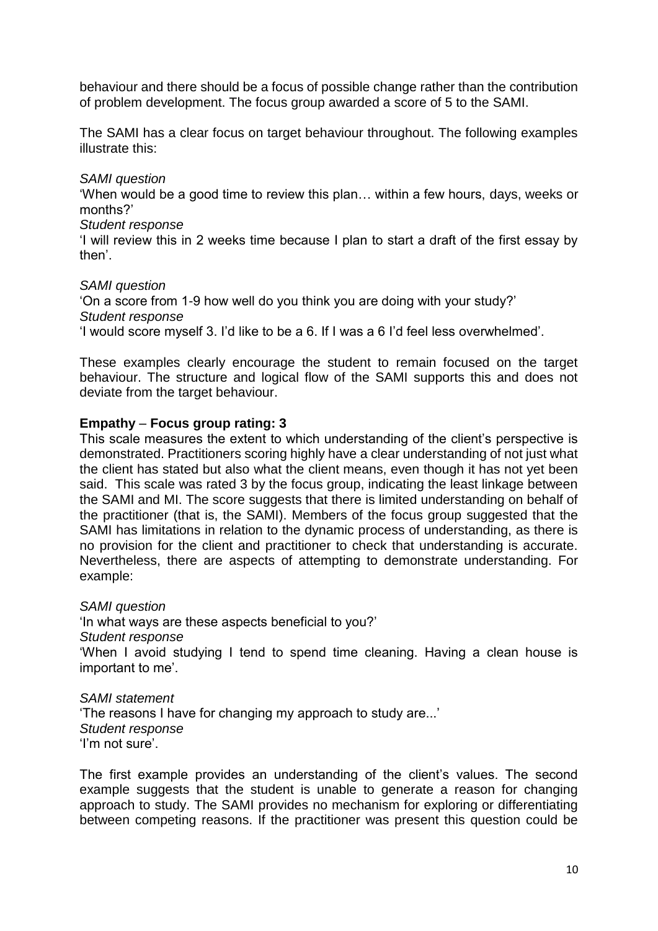behaviour and there should be a focus of possible change rather than the contribution of problem development. The focus group awarded a score of 5 to the SAMI.

The SAMI has a clear focus on target behaviour throughout. The following examples illustrate this:

## *SAMI question*

'When would be a good time to review this plan… within a few hours, days, weeks or months?'

### *Student response*

'I will review this in 2 weeks time because I plan to start a draft of the first essay by then'.

## *SAMI question*

'On a score from 1-9 how well do you think you are doing with your study?' *Student response*  'I would score myself 3. I'd like to be a 6. If I was a 6 I'd feel less overwhelmed'.

These examples clearly encourage the student to remain focused on the target behaviour. The structure and logical flow of the SAMI supports this and does not deviate from the target behaviour.

## **Empathy** – **Focus group rating: 3**

This scale measures the extent to which understanding of the client's perspective is demonstrated. Practitioners scoring highly have a clear understanding of not just what the client has stated but also what the client means, even though it has not yet been said. This scale was rated 3 by the focus group, indicating the least linkage between the SAMI and MI. The score suggests that there is limited understanding on behalf of the practitioner (that is, the SAMI). Members of the focus group suggested that the SAMI has limitations in relation to the dynamic process of understanding, as there is no provision for the client and practitioner to check that understanding is accurate. Nevertheless, there are aspects of attempting to demonstrate understanding. For example:

*SAMI question*  'In what ways are these aspects beneficial to you?' *Student response*  'When I avoid studying I tend to spend time cleaning. Having a clean house is important to me'.

*SAMI statement*  'The reasons I have for changing my approach to study are...' *Student response*  'I'm not sure'.

The first example provides an understanding of the client's values. The second example suggests that the student is unable to generate a reason for changing approach to study. The SAMI provides no mechanism for exploring or differentiating between competing reasons. If the practitioner was present this question could be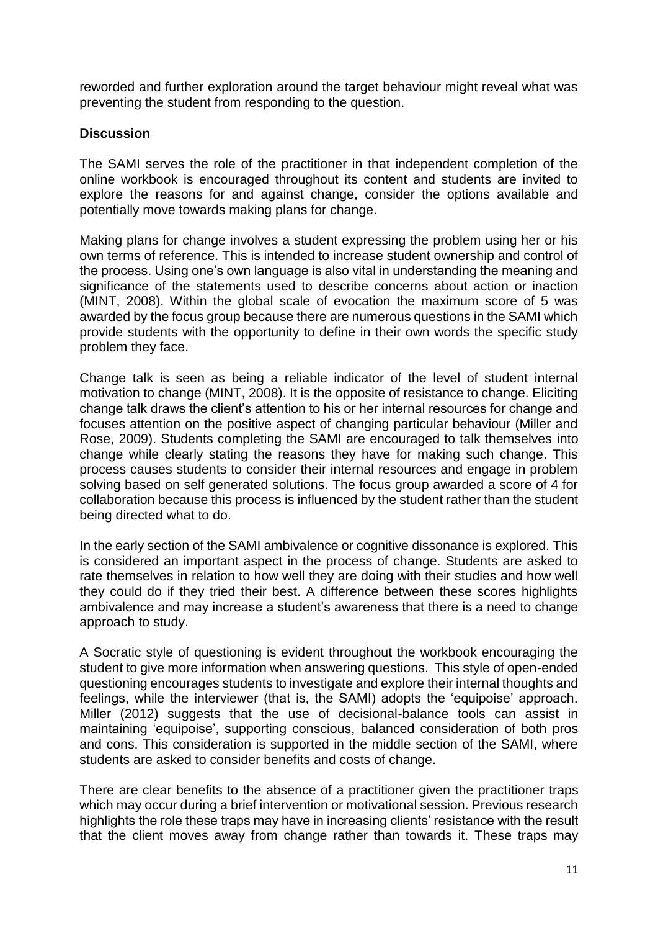reworded and further exploration around the target behaviour might reveal what was preventing the student from responding to the question.

## **Discussion**

The SAMI serves the role of the practitioner in that independent completion of the online workbook is encouraged throughout its content and students are invited to explore the reasons for and against change, consider the options available and potentially move towards making plans for change.

Making plans for change involves a student expressing the problem using her or his own terms of reference. This is intended to increase student ownership and control of the process. Using one's own language is also vital in understanding the meaning and significance of the statements used to describe concerns about action or inaction (MINT, 2008). Within the global scale of evocation the maximum score of 5 was awarded by the focus group because there are numerous questions in the SAMI which provide students with the opportunity to define in their own words the specific study problem they face.

Change talk is seen as being a reliable indicator of the level of student internal motivation to change (MINT, 2008). It is the opposite of resistance to change. Eliciting change talk draws the client's attention to his or her internal resources for change and focuses attention on the positive aspect of changing particular behaviour (Miller and Rose, 2009). Students completing the SAMI are encouraged to talk themselves into change while clearly stating the reasons they have for making such change. This process causes students to consider their internal resources and engage in problem solving based on self generated solutions. The focus group awarded a score of 4 for collaboration because this process is influenced by the student rather than the student being directed what to do.

In the early section of the SAMI ambivalence or cognitive dissonance is explored. This is considered an important aspect in the process of change. Students are asked to rate themselves in relation to how well they are doing with their studies and how well they could do if they tried their best. A difference between these scores highlights ambivalence and may increase a student's awareness that there is a need to change approach to study.

A Socratic style of questioning is evident throughout the workbook encouraging the student to give more information when answering questions. This style of open-ended questioning encourages students to investigate and explore their internal thoughts and feelings, while the interviewer (that is, the SAMI) adopts the 'equipoise' approach. Miller (2012) suggests that the use of decisional-balance tools can assist in maintaining 'equipoise', supporting conscious, balanced consideration of both pros and cons. This consideration is supported in the middle section of the SAMI, where students are asked to consider benefits and costs of change.

There are clear benefits to the absence of a practitioner given the practitioner traps which may occur during a brief intervention or motivational session. Previous research highlights the role these traps may have in increasing clients' resistance with the result that the client moves away from change rather than towards it. These traps may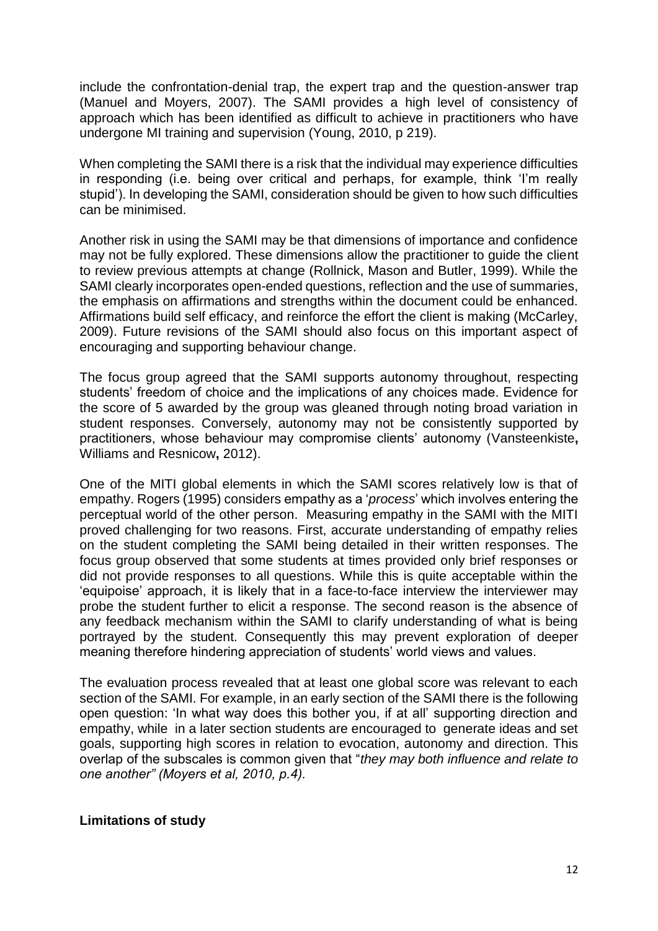include the confrontation-denial trap, the expert trap and the question-answer trap (Manuel and Moyers, 2007). The SAMI provides a high level of consistency of approach which has been identified as difficult to achieve in practitioners who have undergone MI training and supervision (Young, 2010, p 219).

When completing the SAMI there is a risk that the individual may experience difficulties in responding (i.e. being over critical and perhaps, for example, think 'I'm really stupid'). In developing the SAMI, consideration should be given to how such difficulties can be minimised.

Another risk in using the SAMI may be that dimensions of importance and confidence may not be fully explored. These dimensions allow the practitioner to guide the client to review previous attempts at change (Rollnick, Mason and Butler, 1999). While the SAMI clearly incorporates open-ended questions, reflection and the use of summaries, the emphasis on affirmations and strengths within the document could be enhanced. Affirmations build self efficacy, and reinforce the effort the client is making (McCarley, 2009). Future revisions of the SAMI should also focus on this important aspect of encouraging and supporting behaviour change.

The focus group agreed that the SAMI supports autonomy throughout, respecting students' freedom of choice and the implications of any choices made. Evidence for the score of 5 awarded by the group was gleaned through noting broad variation in student responses. Conversely, autonomy may not be consistently supported by practitioners, whose behaviour may compromise clients' autonomy (Vansteenkiste**,**  Williams and Resnicow**,** 2012).

One of the MITI global elements in which the SAMI scores relatively low is that of empathy. Rogers (1995) considers empathy as a '*process*' which involves entering the perceptual world of the other person. Measuring empathy in the SAMI with the MITI proved challenging for two reasons. First, accurate understanding of empathy relies on the student completing the SAMI being detailed in their written responses. The focus group observed that some students at times provided only brief responses or did not provide responses to all questions. While this is quite acceptable within the 'equipoise' approach, it is likely that in a face-to-face interview the interviewer may probe the student further to elicit a response. The second reason is the absence of any feedback mechanism within the SAMI to clarify understanding of what is being portrayed by the student. Consequently this may prevent exploration of deeper meaning therefore hindering appreciation of students' world views and values.

The evaluation process revealed that at least one global score was relevant to each section of the SAMI. For example, in an early section of the SAMI there is the following open question: 'In what way does this bother you, if at all' supporting direction and empathy, while in a later section students are encouraged to generate ideas and set goals, supporting high scores in relation to evocation, autonomy and direction. This overlap of the subscales is common given that "*they may both influence and relate to one another" (Moyers et al, 2010, p.4).* 

## **Limitations of study**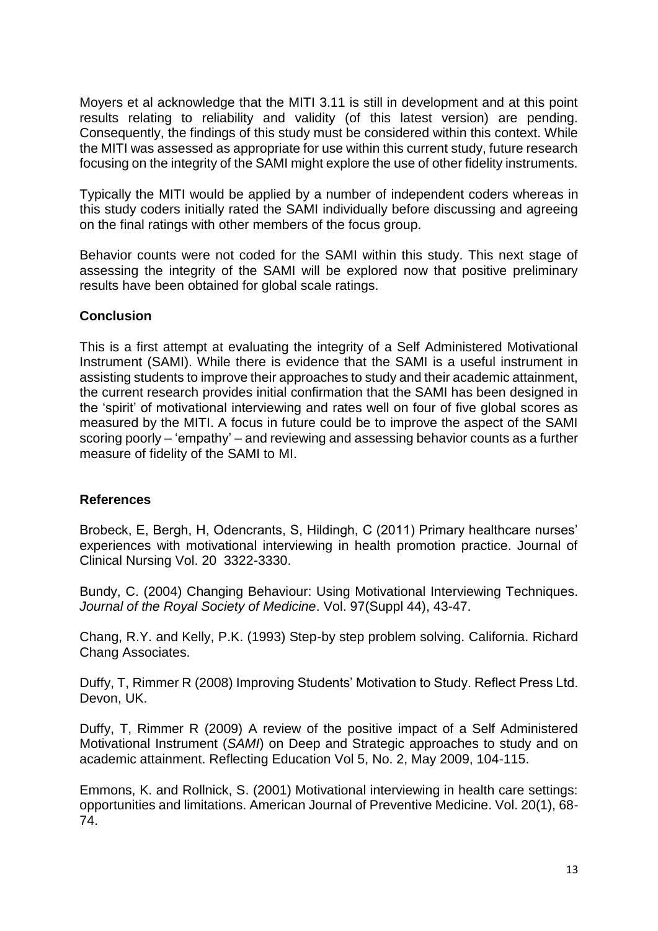Moyers et al acknowledge that the MITI 3.11 is still in development and at this point results relating to reliability and validity (of this latest version) are pending. Consequently, the findings of this study must be considered within this context. While the MITI was assessed as appropriate for use within this current study, future research focusing on the integrity of the SAMI might explore the use of other fidelity instruments.

Typically the MITI would be applied by a number of independent coders whereas in this study coders initially rated the SAMI individually before discussing and agreeing on the final ratings with other members of the focus group.

Behavior counts were not coded for the SAMI within this study. This next stage of assessing the integrity of the SAMI will be explored now that positive preliminary results have been obtained for global scale ratings.

## **Conclusion**

This is a first attempt at evaluating the integrity of a Self Administered Motivational Instrument (SAMI). While there is evidence that the SAMI is a useful instrument in assisting students to improve their approaches to study and their academic attainment, the current research provides initial confirmation that the SAMI has been designed in the 'spirit' of motivational interviewing and rates well on four of five global scores as measured by the MITI. A focus in future could be to improve the aspect of the SAMI scoring poorly – 'empathy' – and reviewing and assessing behavior counts as a further measure of fidelity of the SAMI to MI.

## **References**

Brobeck, E, Bergh, H, Odencrants, S, Hildingh, C (2011) Primary healthcare nurses' experiences with motivational interviewing in health promotion practice. Journal of Clinical Nursing Vol. 20 3322-3330.

Bundy, C. (2004) Changing Behaviour: Using Motivational Interviewing Techniques. *Journal of the Royal Society of Medicine*. Vol. 97(Suppl 44), 43-47.

Chang, R.Y. and Kelly, P.K. (1993) Step-by step problem solving. California. Richard Chang Associates.

Duffy, T, Rimmer R (2008) Improving Students' Motivation to Study. Reflect Press Ltd. Devon, UK.

Duffy, T, Rimmer R (2009) A review of the positive impact of a Self Administered Motivational Instrument (*SAMI*) on Deep and Strategic approaches to study and on academic attainment. Reflecting Education Vol 5, No. 2, May 2009, 104-115.

Emmons, K. and Rollnick, S. (2001) Motivational interviewing in health care settings: opportunities and limitations. American Journal of Preventive Medicine. Vol. 20(1), 68- 74.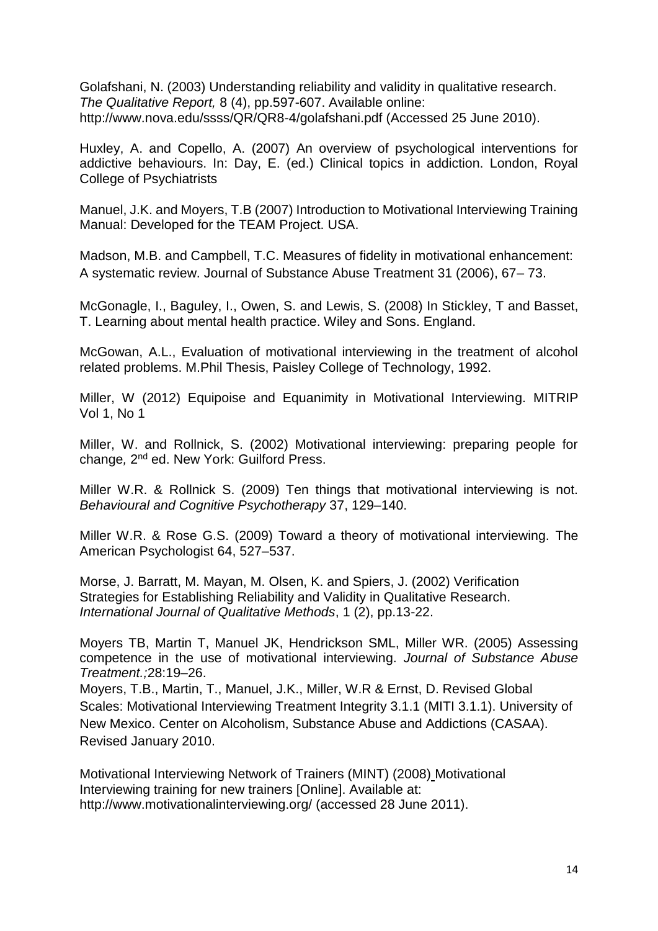Golafshani, N. (2003) Understanding reliability and validity in qualitative research. *The Qualitative Report,* 8 (4), pp.597-607. Available online: http://www.nova.edu/ssss/QR/QR8-4/golafshani.pdf (Accessed 25 June 2010).

Huxley, A. and Copello, A. (2007) An overview of psychological interventions for addictive behaviours. In: Day, E. (ed.) Clinical topics in addiction. London, Royal College of Psychiatrists

Manuel, J.K. and Moyers, T.B (2007) Introduction to Motivational Interviewing Training Manual: Developed for the TEAM Project. USA.

Madson, M.B. and Campbell, T.C. Measures of fidelity in motivational enhancement: A systematic review. Journal of Substance Abuse Treatment 31 (2006), 67– 73.

McGonagle, I., Baguley, I., Owen, S. and Lewis, S. (2008) In Stickley, T and Basset, T. Learning about mental health practice. Wiley and Sons. England.

McGowan, A.L., Evaluation of motivational interviewing in the treatment of alcohol related problems. M.Phil Thesis, Paisley College of Technology, 1992.

Miller, W (2012) Equipoise and Equanimity in Motivational Interviewing. MITRIP Vol 1, No 1

Miller, W. and Rollnick, S. (2002) Motivational interviewing: preparing people for change, 2<sup>nd</sup> ed. New York: Guilford Press.

Miller W.R. & Rollnick S. (2009) Ten things that motivational interviewing is not. *Behavioural and Cognitive Psychotherapy* 37, 129–140.

Miller W.R. & Rose G.S. (2009) Toward a theory of motivational interviewing. The American Psychologist 64, 527–537.

Morse, J. Barratt, M. Mayan, M. Olsen, K. and Spiers, J. (2002) Verification Strategies for Establishing Reliability and Validity in Qualitative Research. *International Journal of Qualitative Methods*, 1 (2), pp.13-22.

Moyers TB, Martin T, Manuel JK, Hendrickson SML, Miller WR. (2005) Assessing competence in the use of motivational interviewing. *Journal of Substance Abuse Treatment.;*28:19–26.

Moyers, T.B., Martin, T., Manuel, J.K., Miller, W.R & Ernst, D. Revised Global Scales: Motivational Interviewing Treatment Integrity 3.1.1 (MITI 3.1.1). University of New Mexico. Center on Alcoholism, Substance Abuse and Addictions (CASAA). Revised January 2010.

Motivational Interviewing Network of Trainers (MINT) (2008) Motivational Interviewing training for new trainers [Online]. Available at: http://www.motivationalinterviewing.org/ (accessed 28 June 2011).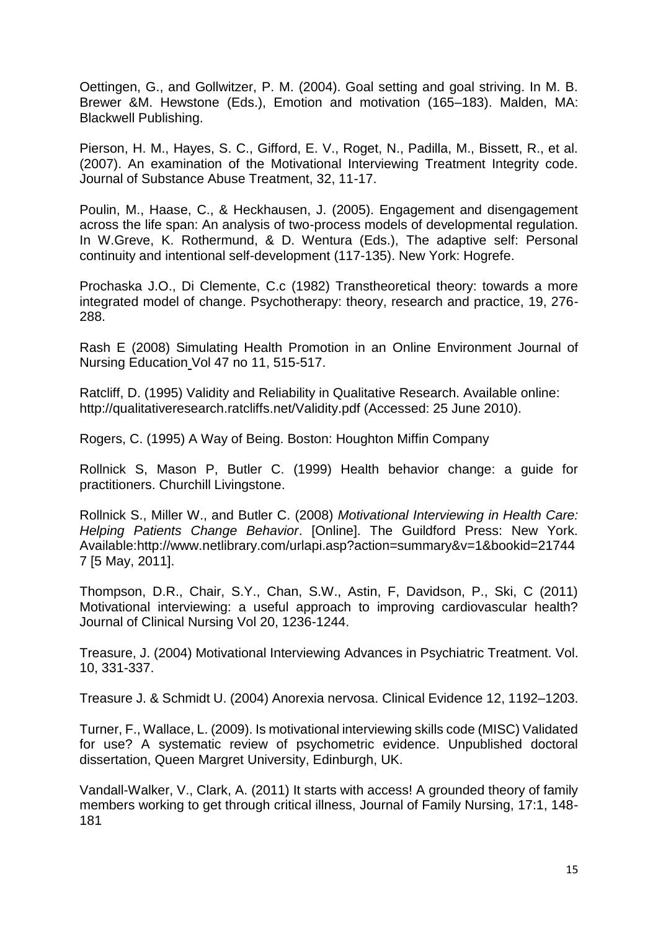Oettingen, G., and Gollwitzer, P. M. (2004). Goal setting and goal striving. In M. B. Brewer &M. Hewstone (Eds.), Emotion and motivation (165–183). Malden, MA: Blackwell Publishing.

Pierson, H. M., Hayes, S. C., Gifford, E. V., Roget, N., Padilla, M., Bissett, R., et al. (2007). An examination of the Motivational Interviewing Treatment Integrity code. Journal of Substance Abuse Treatment, 32, 11-17.

Poulin, M., Haase, C., & Heckhausen, J. (2005). Engagement and disengagement across the life span: An analysis of two-process models of developmental regulation. In W.Greve, K. Rothermund, & D. Wentura (Eds.), The adaptive self: Personal continuity and intentional self-development (117-135). New York: Hogrefe.

Prochaska J.O., Di Clemente, C.c (1982) Transtheoretical theory: towards a more integrated model of change. Psychotherapy: theory, research and practice, 19, 276- 288.

Rash E (2008) Simulating Health Promotion in an Online Environment Journal of Nursing Education Vol 47 no 11, 515-517.

Ratcliff, D. (1995) Validity and Reliability in Qualitative Research. Available online: http://qualitativeresearch.ratcliffs.net/Validity.pdf (Accessed: 25 June 2010).

Rogers, C. (1995) A Way of Being. Boston: Houghton Miffin Company

Rollnick S, Mason P, Butler C. (1999) Health behavior change: a guide for practitioners. Churchill Livingstone.

Rollnick S., Miller W., and Butler C. (2008) *Motivational Interviewing in Health Care: Helping Patients Change Behavior*. [Online]. The Guildford Press: New York. Available:http://www.netlibrary.com/urlapi.asp?action=summary&v=1&bookid=21744 7 [5 May, 2011].

Thompson, D.R., Chair, S.Y., Chan, S.W., Astin, F, Davidson, P., Ski, C (2011) Motivational interviewing: a useful approach to improving cardiovascular health? Journal of Clinical Nursing Vol 20, 1236-1244.

Treasure, J. (2004) Motivational Interviewing Advances in Psychiatric Treatment. Vol. 10, 331-337.

Treasure J. & Schmidt U. (2004) Anorexia nervosa. Clinical Evidence 12, 1192–1203.

Turner, F., Wallace, L. (2009). Is motivational interviewing skills code (MISC) Validated for use? A systematic review of psychometric evidence. Unpublished doctoral dissertation, Queen Margret University, Edinburgh, UK.

Vandall-Walker, V., Clark, A. (2011) It starts with access! A grounded theory of family members working to get through critical illness, Journal of Family Nursing, 17:1, 148- 181